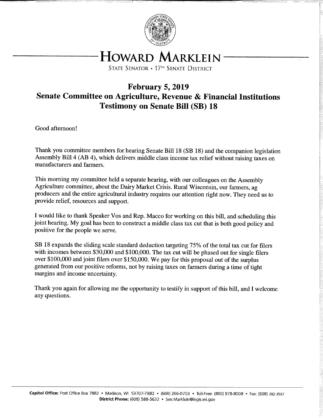

# HOWARD MARKLEIN

STATE SENATOR • 17<sup>th</sup> SENATE DISTRICT

# February 5, 2019 Senate Committee on Agriculture, Revenue & Financial Institutions Testimony on Senate Bill (SB) 18

Good afternoon!

Thank you committee members for hearing Senate Bill 18 (SB 18) and the companion legislation Assembly Bill 4 (AB 4), which delivers middle class income tax relief without raising taxes on manufacturers and farmers.

This morning my committee held a separate hearing, with our colleagues on the Assembly Agriculture committee, about the Dairy Market Crisis. Rural Wisconsin, our farmers, ag producers and the entire agricultural industry requires our attention right now. They need us to provide relief, resources and support.

I would like to thank Speaker Vos and Rep. Macco for working on this bill, and scheduling this joint hearing. My goal has been to construct a middle class tax cut that is both good policy and positive for the people we serve.

SB 18 expands the sliding scale standard deduction targeting 75% of the total tax cut for filers with incomes between \$30,000 and \$100,000. The tax cut will be phased out for single filers over \$100,000 and joint filers over \$150,000. We pay for this proposal out of the surplus generated from our positive reforms, not by raising taxes on farmers during a time of tight margins and income uncertainty.

Thank you again for allowing me the opportunity to testify in support of this bill, and I welcome any questions.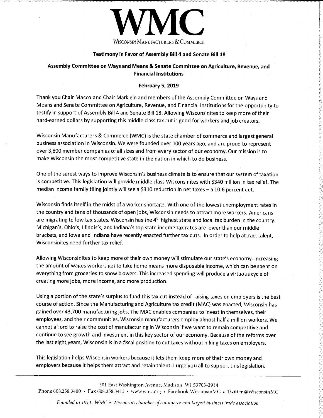

#### Testimony in Favor of Assembly Bill 4 and Senate Bill 18

#### Assembly Committee on Ways and Means & Senate Committee on Agriculture, Revenue, and Financial Institutions

#### February 5, 2019

Thank you Chair Macco and Chair Marklein and members of the Assembly Committee on Ways and Means and Senate Committee on Agriculture, Revenue, and Financial Institutions for the opportunity to testify in support of Assembly Bill 4 and Senate Bill 18. Allowing Wisconsinites to keep more of their hard-earned dollars by supporting this middle class tax cut is good for workers and job creators.

Wisconsin Manufacturers & Commerce (WMC) is the state chamber of commerce and largest general business association in Wisconsin. We were founded over 100 years ago, and are proud to represent over 3,800 member companies of all sizes and from every sector of our economy. Our mission is to make Wisconsin the most competitive state in the nation in which to do business.

One of the surest ways to improve Wisconsin's business climate is to ensure that our system of taxation is competitive. This legislation will provide middle class Wisconsinites with \$340 million in tax relief. The median income family filing jointly will see a \$310 reduction in net taxes - a 10.6 percent cut.

Wisconsin finds itself in the midst of a worker shortage. With one of the lowest unemployment rates in the country and tens of thousands of open jobs, Wisconsin needs to attract more workers. Americans are migrating to low tax states. Wisconsin has the  $4<sup>th</sup>$  highest state and local tax burden in the country. Michigan's, Ohio's, Illinois's, and Indiana's top state income tax rates are lower than our middle brackets, and Iowa and Indiana have recently enacted further tax cuts. In order to help attract talent, Wisconsinites need further tax relief.

Allowing Wisconsinites to keep more of their own money will stimulate our state's economy. Increasing the amount of wages workers get to take home means more disposable income, which can be spent on everything from groceries to snow blowers. This increased spending will produce a virtuous cycle of creating more jobs, more income, and more production.

Using a portion of the state's surplus to fund this tax cut instead of raising taxes on employers is the best course of action. Since the Manufacturing and Agriculture tax credit (MAC) was enacted, Wisconsin has gained over 43,700 manufacturing jobs. The MAC enables companies to invest in themselves, their employees, and their communities. Wisconsin manufacturers employ almost half a million workers. We cannot afford to raise the cost of manufacturing in Wisconsin if we want to remain competitive and continue to see growth and investment in this key sector of our economy. Because of the reforms over the last eight years, Wisconsin is in a fiscal position to cut taxes without hiking taxes on employers.

This legislation helps Wisconsin workers because it lets them keep more of their own money and employers because it helps them attract and retain talent. I urge you all to support this legislation.

501 East Washington Avenue, Madison, WI 53703-2914 Phone 608.258.3400 • Fax 608.258.3413 • www.wmc.org • Facebook WisconsinMC • Twitter @WisconsinMC

Founded in 1911, WMC is Wisconsin's chamber of commerce and largest business trade association.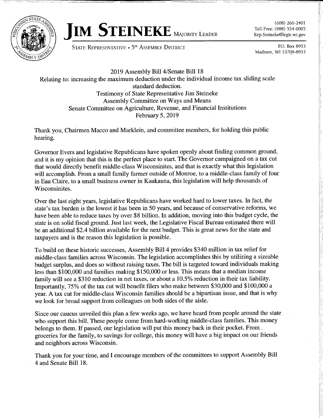



(608) 266-2401 Toll -Free: (888) 534-0005 Rep.Steineke@legis.wi.gov

STATE REPRESENTATIVE • 5<sup>th</sup> ASSEMBLY DISTRICT **P.O. Box 8953** P.O. Box 8953

- --- -- - -

Madison, WI 53708-8953

2019 Assembly Bill 4/Senate Bill 18 Relating to: increasing the maximum deduction under the individual income tax sliding scale standard deduction. Testimony of State Representative Jim Steineke Assembly Committee on Ways and Means Senate Committee on Agriculture, Revenue, and Financial Institutions February 5, 2019

Thank you, Chairmen Macco and Marklein, and committee members, for holding this public hearing.

Governor Evers and legislative Republicans have spoken openly about finding common ground, and it is my opinion that this is the perfect place to start. The Governor campaigned on a tax cut that would directly benefit middle-class Wisconsinites, and that is exactly what this legislation will accomplish. From a small family farmer outside of Monroe, to a middle-class family of four in Eau Claire, to a small business owner in Kaukauna, this legislation will help thousands of Wisconsinites.

Over the last eight years, legislative Republicans have worked hard to lower taxes. In fact, the state's tax burden is the lowest it has been in 50 years, and because of conservative reforms, we have been able to reduce taxes by over \$8 billion. In addition, moving into this budget cycle, the state is on solid fiscal ground. Just last week, the Legislative Fiscal Bureau estimated there will be an additional \$2.4 billion available for the next budget. This is great news for the state and taxpayers and is the reason this legislation is possible.

To build on these historic successes, Assembly Bill 4 provides \$340 million in tax relief for middle-class families across Wisconsin. The legislation accomplishes this by utilizing a sizeable budget surplus, and does so without raising taxes. The bill is targeted toward individuals making less than \$100,000 and families making \$150,000 or less. This means that a median income family will see a \$310 reduction in net taxes, or about a 10.5% reduction in their tax liability. Importantly, 75% of the tax cut will benefit filers who make between \$30,000 and \$100,000 a year. A tax cut for middle-class Wisconsin families should be a bipartisan issue, and that is why we look for broad support from colleagues on both sides of the aisle.

Since our caucus unveiled this plan a few weeks ago, we have heard from people around the state who support this bill. These people come from hard-working middle-class families. This money belongs to them. If passed, our legislation will put this money back in their pocket. From , groceries for the family, to savings for college, this money will have a big impact on our friends and neighbors across Wisconsin.

Thank you for your time, and I encourage members of the committees to support Assembly Bill 4 and Senate Bill 18.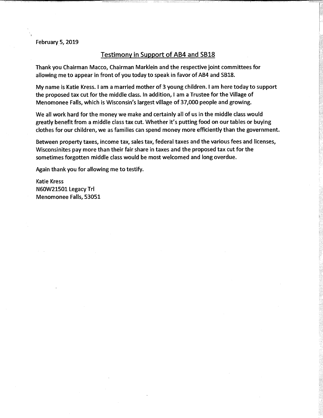February 5, 2019

#### Testimony in Support of AB4 and SB18

Thank you Chairman Macco, Chairman Marklein and the respective joint committees for allowing me to appear in front of you today to speak in favor of AB4 and SB18.

My name is Katie Kress. I am a married mother of 3 young children. I am here today to support the proposed tax cut for the middle class. In addition, I am a Trustee for the Village of Menomonee Falls, which is Wisconsin's largest village of 37,000 people and growing.

We all work hard for the money we make and certainly all of us in the middle class would greatly benefit from a middle class tax cut. Whether it's putting food on our tables or buying clothes for our children, we as families can spend money more efficiently than the government.

Between property taxes, income tax, sales tax, federal taxes and the various fees and licenses, Wisconsinites pay more than their fair share in taxes and the proposed tax cut for the sometimes forgotten middle class would be most welcomed and long overdue.

Again thank you for allowing me to testify.

Katie Kress N60W21501 Legacy TrI Menomonee Falls, 53051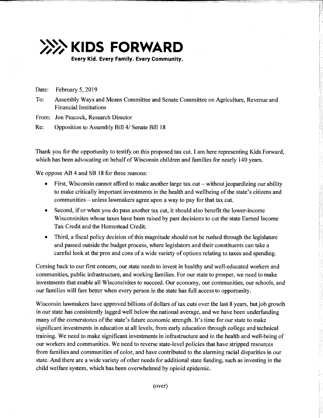

Date: February 5, 2019

To: Assembly Ways and Means Committee and Senate Committee on Agriculture, Revenue and Financial Institutions

From: Jon Peacock, Research Director

Re: Opposition to Assembly Bill 4/ Senate Bill 18

Thank you for the opportunity to testify on this proposed tax cut. I am here representing Kids Forward, which has been advocating on behalf of Wisconsin children and families for nearly 140 years.

We oppose AB 4 and SB 18 for three reasons:

- First, Wisconsin cannot afford to make another large tax cut without jeopardizing our ability to make critically important investments in the health and wellbeing of the state's citizens and communities – unless lawmakers agree upon a way to pay for that tax cut.
- Second, if or when you do pass another tax cut, it should also benefit the lower -income  $\bullet$ Wisconsinites whose taxes have been raised by past decisions to cut the state Earned Income Tax Credit and the Homestead Credit.
- Third, a fiscal policy decision of this magnitude should not be rushed through the legislature and passed outside the budget process, where legislators and their constituents can take a careful look at the pros and cons of a wide variety of options relating to taxes and spending.

Coming back to our first concern, our state needs to invest in healthy and well-educated workers and communities, public infrastructure, and working families. For our state to prosper, we need to make investments that enable all Wisconsinites to succeed. Our economy, our communities, our schools, and our families will fare better when every person in the state has full access to opportunity.

Wisconsin lawmakers have approved billions of dollars of tax cuts over the last 8 years, but job growth in our state has consistently lagged well below the national average, and we have been underfunding many of the cornerstones of the state's future economic strength. It's time for our state to make significant investments in education at all levels, from early education through college and technical training. We need to make significant investments in infrastructure and in the health and well-being of our workers and communities. We need to reverse state -level policies that have stripped resources from families and communities of color, and have contributed to the alarming racial disparities in our state. And there are a wide variety of other needs for additional state funding, such as investing in the child welfare system, which has been overwhelmed by opioid epidemic.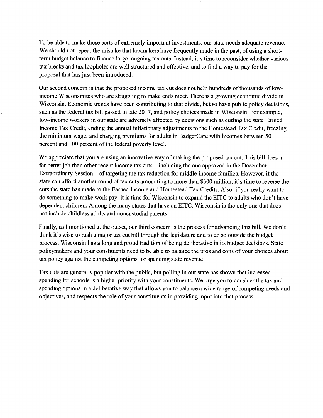To be able to make those sorts of extremely important investments, our state needs adequate revenue. We should not repeat the mistake that lawmakers have frequently made in the past, of using a shortterm budget balance to finance large, ongoing tax cuts. Instead, it's time to reconsider whether various tax breaks and tax loopholes are well structured and effective, and to find a way to pay for the proposal that has just been introduced.

Our second concern is that the proposed income tax cut does not help hundreds of thousands of lowincome Wisconsinites who are struggling to make ends meet. There is a growing economic divide in Wisconsin. Economic trends have been contributing to that divide, but so have public policy decisions, such as the federal tax bill passed in late 2017, and policy choices made in Wisconsin. For example, low-income workers in our state are adversely affected by decisions such as cutting the state Earned Income Tax Credit, ending the annual inflationary adjustments to the Homestead Tax Credit, freezing the minimum wage, and charging premiums for adults in BadgerCare with incomes between 50 percent and 100 percent of the federal poverty level.

We appreciate that you are using an innovative way of making the proposed tax cut. This bill does a far better job than other recent income tax cuts  $-$  including the one approved in the December Extraordinary Session - of targeting the tax reduction for middle -income families. However, if the state can afford another round of tax cuts amounting to more than \$300 million, it's time to reverse the cuts the state has made to the Earned Income and Homestead Tax Credits. Also, if you really want to do something to make work pay, it is time for Wisconsin to expand the EITC to adults who don't have dependent children. Among the many states that have an EITC, Wisconsin is the only one that does not include childless adults and noncustodial parents.

Finally, as I mentioned at the outset, our third concern is the process for advancing this bill. We don't think it's wise to rush a major tax cut bill through the legislature and to do so outside the budget process. Wisconsin has a long and proud tradition of being deliberative in its budget decisions. State policymakers and your constituents need to be able to balance the pros and cons of your choices about tax policy against the competing options for spending state revenue.

Tax cuts are generally popular with the public, but polling in our state has shown that increased spending for schools is a higher priority with your constituents. We urge you to consider the tax and spending options in a deliberative way that allows you to balance a wide range of competing needs and objectives, and respects the role of your constituents in providing input into that process.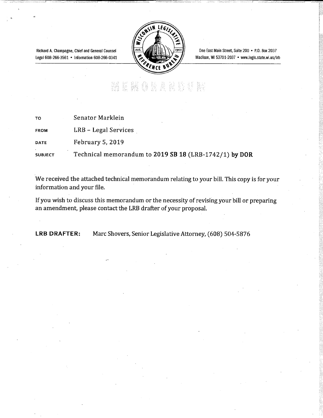Richard A. Champagne, Chief and General Counsel Legal 608-266-3561 • Information 608-266-0341



One East Main Street, Suite 200 • P.O. Box 2037 Madison, WI 53701-2037 • www.legis.state.wi.us/Irb

# 

| TO             | Senator Marklein                                       |
|----------------|--------------------------------------------------------|
| <b>FROM</b>    | LRB – Legal Services                                   |
| <b>DATE</b>    | February 5, 2019                                       |
| <b>SUBJECT</b> | Technical memorandum to 2019 SB 18 (LRB-1742/1) by DOR |

We received the attached technical memorandum relating to your bill. This copy is for your information and your file.

If you wish to discuss this memorandum or the necessity of revising your bill or preparing an amendment, please contact the LRB drafter of your proposal.

LRB DRAFTER: Marc Shovers, Senior Legislative Attorney, (608) 504-5876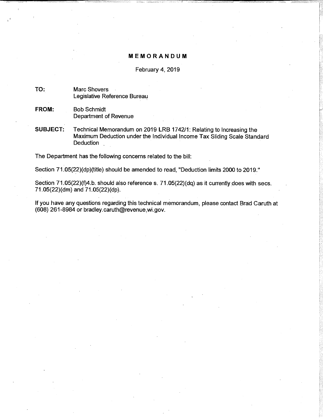#### MEMORANDUM

#### February 4, 2019

#### TO: Marc Shovers Legislative Reference Bureau

- FROM: Bob Schmidt Department of Revenue
- SUBJECT: Technical Memorandum on 2019 LRB 1742/1: Relating to Increasing the Maximum Deduction under the Individual Income Tax Sliding Scale Standard Deduction

The Department has the following concerns related to the bill:

Section 71.05(22)(dp)(title) should be amended to read, "Deduction limits 2000 to 2019."

Section 71.05(22)(f)4.b. should also reference s. 71.05(22)(dq) as it currently does with secs. 71.05(22)(dm) and 71.05(22)(dp).

If you have any questions regarding this technical memorandum, please contact Brad Caruth at (608) 261-8984 or bradley.caruth@revenue,wi.gov.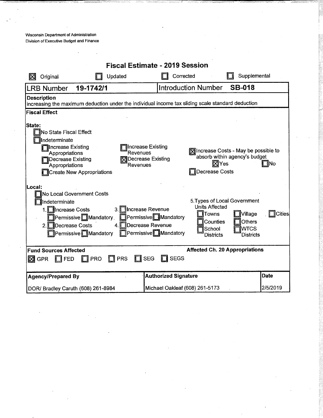Wisconsin Department of Administration Division of Executive Budget and Finance

|                                                                                                                                                                                                                                                                                           | <b>Fiscal Estimate - 2019 Session</b>                                                                                                                       |               |
|-------------------------------------------------------------------------------------------------------------------------------------------------------------------------------------------------------------------------------------------------------------------------------------------|-------------------------------------------------------------------------------------------------------------------------------------------------------------|---------------|
| Updated<br>Original<br>ΙX                                                                                                                                                                                                                                                                 | Supplemental<br>Corrected                                                                                                                                   |               |
| 19-1742/1<br><b>LRB Number</b>                                                                                                                                                                                                                                                            | <b>Introduction Number</b><br><b>SB-018</b>                                                                                                                 |               |
| <b>Description</b><br>increasing the maximum deduction under the individual income tax sliding scale standard deduction                                                                                                                                                                   |                                                                                                                                                             |               |
| <b>Fiscal Effect</b>                                                                                                                                                                                                                                                                      |                                                                                                                                                             |               |
| State:<br>TNo State Fiscal Effect<br>ndeterminate<br><b>Tincrease Existing</b><br>Increase Existing<br>Revenues<br>Appropriations<br>Decrease Existing<br><b>Decrease Existing</b><br>Revenues<br>Appropriations<br>Create New Appropriations                                             | Mincrease Costs - May be possible to<br>absorb within agency's budget<br>⊠Yes<br>Decrease Costs                                                             | ∃lNo          |
| lLocal:<br>No Local Government Costs<br>Indeterminate<br>1. Increase Costs<br>3. Increase Revenue<br>Permissive <sup>Nandatory</sup><br>Permissive <sup>n</sup> Mandatory<br><b>Necrease Revenue</b><br>2. Decrease Costs<br>4.1<br><b>Nandatory</b> Permissive Mandatory <b>Contains</b> | 5. Types of Local Government<br><b>Units Affected</b><br>Towns<br>Village<br>Others<br>Counties<br><b>I</b> WTCS<br>School<br><b>Districts</b><br>Districts | <b>Cities</b> |
| <b>Fund Sources Affected</b><br>$\Box$ PRS<br>$\prod$ SEG<br><b>PRO</b><br>$\boxtimes$ GPR<br><b>FED</b>                                                                                                                                                                                  | <b>Affected Ch. 20 Appropriations</b><br><b>SEGS</b>                                                                                                        |               |
| <b>Agency/Prepared By</b>                                                                                                                                                                                                                                                                 | <b>Authorized Signature</b>                                                                                                                                 | <b>Date</b>   |
| DOR/ Bradley Caruth (608) 261-8984                                                                                                                                                                                                                                                        | Michael Oakleaf (608) 261-5173                                                                                                                              | 2/5/2019      |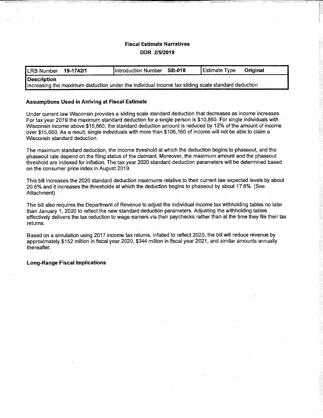# Fiscal Estimate Narratives DOR 2/5/2019

| LRB Number  | 19-1742/1 | Introduction Number SB-018                                                                        | Estimate Type | Original |
|-------------|-----------|---------------------------------------------------------------------------------------------------|---------------|----------|
| Description |           |                                                                                                   |               |          |
|             |           | increasing the maximum deduction under the individual income tax sliding scale standard deduction |               |          |

#### Assumptions Used in Arriving at Fiscal Estimate

Under current law Wisconsin provides a sliding scale standard deduction that decreases as income increases. For tax year 2019 the maximum standard deduction for a single person is \$10,860. For single individuals with Wisconsin income above \$15,660, the standard deduction amount is reduced by 12% of the amount of income over \$15,660. As a result, single individuals with more than \$106,160 of income will not be able to claim a Wisconsin standard deduction.

The maximum standard deduction, the income threshold at which the deduction begins to phaseout, and the phaseout rate depend on the filing status of the claimant. Moreover, the maximum amount and the phaseout threshold are indexed for inflation. The tax year 2020 standard deduction parameters will be determined based on the consumer price index in August 2019.

This bill increases the 2020 standard deduction maximums relative to their current law expected levels by about 20.6% and it increases the thresholds at which the deduction begins to phaseout by about 17.6%. (See Attachment)

The bill also requires the Department of Revenue to adjust the individual income tax withholding tables no later than January 1, 2020 to reflect the new standard deduction parameters. Adjusting the withholding tables effectively delivers the tax reduction to wage earners via their paychecks rather than at the time they file their tax returns.

Based on a simulation using 2017 income tax returns, inflated to reflect 2020, the bill will reduce revenue by approximately \$152 million in fiscal year 2020, \$344 million in fiscal year 2021, and similar amounts annually thereafter.

#### Long -Range Fiscal Implications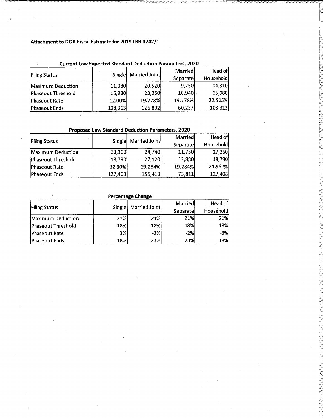# Attachment to DOR Fiscal Estimate for 2019 LRB 1742/1

|                       | Current Law Expected Standard Deduction Parameters, 2020 |                      |           |           |
|-----------------------|----------------------------------------------------------|----------------------|-----------|-----------|
|                       |                                                          | Single Married Joint | Marriedl  | Head of   |
| <b>Filing Status</b>  |                                                          |                      | Separatel | Household |
| Maximum Deduction     | 11,080                                                   | 20,520               | 9,750     | 14,310    |
| Phaseout Threshold    | 15,980                                                   | 23,050               | 10,940    | 15,980    |
| Phaseout Rate         | 12.00%                                                   | 19.778%              | 19.778%   | 22.515%   |
| <b>IPhaseout Ends</b> | 108,313                                                  | 126,802              | 60,237    | 108,313   |

### Current Law Expected Standard Deduction Parameters, 2020

Proposed Law Standard Deduction Parameters, 2020

|                      |         | Single Married Joint | <b>Married</b> | Head of          |  |
|----------------------|---------|----------------------|----------------|------------------|--|
| <b>Filing Status</b> |         |                      | Separatel      | <b>Household</b> |  |
| Maximum Deduction    | 13,360  | 24,740               | 11,750         | 17,260           |  |
| Phaseout Threshold   | 18,790  | 27,120               | 12,880         | 18,790           |  |
| Phaseout Rate        | 12.30%  | 19.284%              | 19.284%        | 21.952%          |  |
| Phaseout Ends        | 127,408 | 155,413              | 73,811         | 127,408          |  |

|                      |               | Percentage Change |            |            |
|----------------------|---------------|-------------------|------------|------------|
|                      |               | Married Joint     | Married    | Head ofl   |
| <b>Filing Status</b> | <b>Single</b> |                   | Separatel  | Household  |
| Maximum Deduction    | 21%<br>21%    |                   | 21%l       | 21%        |
| Phaseout Threshold   | <b>18%</b>    | 18%               | 18%l       | <b>18%</b> |
| Phaseout Rate        | 3%            | $-2%$             | $-2%$      | $-3%$      |
| Phaseout Ends        | 18%           | 23%               | <b>23%</b> | 18%        |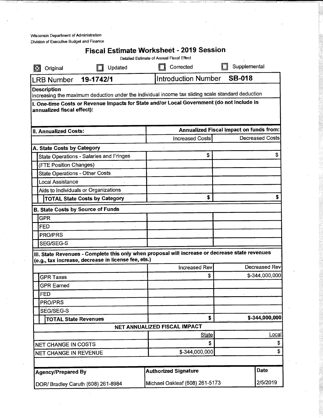Wisconsin Department of Administration Division of Executive Budget and Finance

|                                                                  |                                                     | <b>Fiscal Estimate Worksheet - 2019 Session</b><br>Detailed Estimate of Annual Fiscal Effect      |                                                                   |
|------------------------------------------------------------------|-----------------------------------------------------|---------------------------------------------------------------------------------------------------|-------------------------------------------------------------------|
| Original                                                         | Updated                                             | Corrected                                                                                         | Supplemental                                                      |
| <b>LRB Number</b>                                                | 19-1742/1                                           | <b>Introduction Number</b>                                                                        | <b>SB-018</b>                                                     |
| <b>Description</b>                                               |                                                     |                                                                                                   |                                                                   |
|                                                                  |                                                     | increasing the maximum deduction under the individual income tax sliding scale standard deduction |                                                                   |
| annualized fiscal effect):                                       |                                                     | 1. One-time Costs or Revenue Impacts for State and/or Local Government (do not include in         |                                                                   |
|                                                                  |                                                     |                                                                                                   |                                                                   |
|                                                                  |                                                     |                                                                                                   |                                                                   |
| II. Annualized Costs:                                            |                                                     |                                                                                                   | Annualized Fiscal Impact on funds from:<br><b>Decreased Costs</b> |
|                                                                  |                                                     | <b>Increased Costs</b>                                                                            |                                                                   |
| A. State Costs by Category                                       |                                                     | \$                                                                                                | \$                                                                |
|                                                                  | <b>State Operations - Salaries and Fringes</b>      |                                                                                                   |                                                                   |
| (FTE Position Changes)                                           |                                                     |                                                                                                   |                                                                   |
| <b>State Operations - Other Costs</b><br><b>Local Assistance</b> |                                                     |                                                                                                   |                                                                   |
|                                                                  | Aids to Individuals or Organizations                |                                                                                                   |                                                                   |
|                                                                  | <b>TOTAL State Costs by Category</b>                | \$                                                                                                |                                                                   |
|                                                                  |                                                     |                                                                                                   |                                                                   |
| <b>B. State Costs by Source of Funds</b>                         |                                                     |                                                                                                   |                                                                   |
| <b>GPR</b>                                                       |                                                     |                                                                                                   |                                                                   |
| <b>FED</b>                                                       |                                                     |                                                                                                   |                                                                   |
| PRO/PRS                                                          |                                                     |                                                                                                   |                                                                   |
| SEG/SEG-S                                                        |                                                     |                                                                                                   |                                                                   |
|                                                                  | (e.g., tax increase, decrease in license fee, ets.) | III. State Revenues - Complete this only when proposal will increase or decrease state revenues   |                                                                   |
|                                                                  |                                                     | <b>Increased Rev</b>                                                                              | Decreased Rev                                                     |
| <b>GPR Taxes</b>                                                 |                                                     | \$                                                                                                | \$-344,000,000                                                    |
| <b>GPR Earned</b>                                                |                                                     |                                                                                                   |                                                                   |
| <b>FED</b>                                                       |                                                     |                                                                                                   |                                                                   |
| PRO/PRS                                                          |                                                     |                                                                                                   |                                                                   |
| SEG/SEG-S                                                        |                                                     |                                                                                                   |                                                                   |
| <b>TOTAL State Revenues</b>                                      |                                                     | \$                                                                                                | \$-344,000,000                                                    |
|                                                                  |                                                     | NET ANNUALIZED FISCAL IMPACT                                                                      |                                                                   |
|                                                                  |                                                     | <b>State</b>                                                                                      | Local                                                             |
| NET CHANGE IN COSTS                                              |                                                     | \$                                                                                                | \$                                                                |
| NET CHANGE IN REVENUE                                            |                                                     | \$-344,000,000                                                                                    | \$                                                                |
|                                                                  |                                                     |                                                                                                   |                                                                   |
| <b>Agency/Prepared By</b>                                        |                                                     | <b>Authorized Signature</b>                                                                       | <b>Date</b>                                                       |
|                                                                  | DOR/ Bradley Caruth (608) 261-8984                  | Michael Oakleaf (608) 261-5173                                                                    | 2/5/2019                                                          |
|                                                                  |                                                     |                                                                                                   |                                                                   |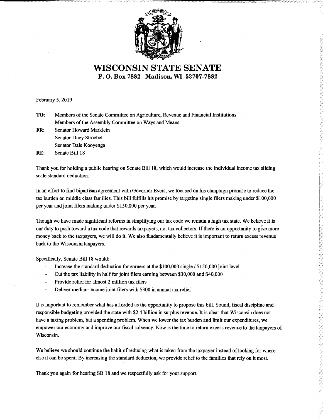

WISCONSIN STATE SENATE P. 0. Box 7882 Madison, WI 53707-7882

February 5, 2019

- TO: Members of the Senate Committee on Agriculture, Revenue and Financial Institutions Members of the Assembly Committee on Ways and Means
- FR: Senator Howard Marklein Senator Duey Stroebel Senator Dale Kooyenga

-\_ ------

RE: Senate Bill 18

Thank you for holding a public hearing on Senate Bill 18, which would increase the individual income tax sliding scale standard deduction.

In an effort to find bipartisan agreement with Governor Evers, we focused on his campaign promise to reduce the tax burden on middle class families. This bill fulfills his promise by targeting single filers making under \$100,000 per year and joint filers making under \$150,000 per year.

Though we have made significant reforms in simplifying our tax code we remain a high tax state. We believe it is our duty to push toward a tax code that rewards taxpayers, not tax collectors. If there is an opportunity to give more money back to the taxpayers, we will do it. We also fundamentally believe it is important to return excess revenue back to the Wisconsin taxpayers.

Specifically, Senate Bill 18 would:

- L, Increase the standard deduction for earners at the \$100,000 single / \$150,000 joint level
- Cut the tax liability in half for joint filers earning between \$30,000 and \$40,000
- Provide relief for almost 2 million tax filers
- Deliver median -income joint filers with \$300 in annual tax relief

It is important to remember what has afforded us the opportunity to propose this bill. Sound, fiscal discipline and responsible budgeting provided the state with \$2.4 billion in surplus revenue. It is clear that Wisconsin does not have a taxing problem, but a spending problem. When we lower the tax burden and limit our expenditures, we empower our economy and improve our fiscal solvency. Now is the time to return excess revenue to the taxpayers of Wisconsin.

We believe we should continue the habit of reducing what is taken from the taxpayer instead of looking for where else it can be spent. By increasing the standard deduction, we provide relief to the families that rely on it most.

Thank you again for hearing SB 18 and we respectfully ask for your support.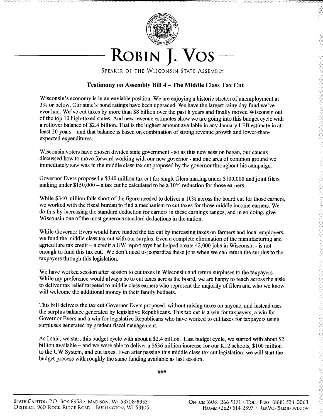

SPEAKER OF THE WISCONSIN STATE ASSEMBLY

# Testimony on Assembly Bill 4 - The Middle Class Tax Cut

Wisconsin's economy is in an enviable position. We are enjoying a historic stretch of unemployment at 3% or below. Our state's bond ratings have been upgraded. We have the largest rainy day fund we've ever had. We've cut taxes by more than \$8 billion over the past 8 years and finally moved Wisconsin out of the top 10 high -taxed states. And new revenue estimates show we are going into this budget cycle with a rollover balance of \$2.4 billion. That is the highest amount available in any January LFB estimate in at least 20 years – and that balance is based on combination of strong revenue growth and lower-thanexpected expenditures.

Wisconsin voters have chosen divided state government - so as this new session began, our caucus discussed how to move forward working with our new governor - and one area of common ground we immediately saw was in the middle class tax cut proposed by the governor throughout his campaign.

Governor Evers proposed a \$340 million tax cut for single filers making under \$100,000 and joint filers making under \$150,000 - a tax cut he calculated to be a 10% reduction for those earners.

While \$340 million falls short of the figure needed to deliver a 10% across the board cut for those earners, we worked with the fiscal bureau to find a mechanism to cut taxes for those middle income earners. We do this by increasing the standard deduction for earners in these earnings ranges, and in so doing, give Wisconsin one of the most generous standard deductions in the nation.

While Governor Evers would have funded the tax cut by increasing taxes on farmers and local employers, we fund the middle class tax cut with our surplus. Even a complete elimination of the manufacturing and agriculture tax credit - a credit a UW report says has helped create  $42,000$  jobs in Wisconsin - is not enough to fund this tax cut. We don't need to jeopardize these jobs when we can return the surplus to the taxpayers through this legislation.

We have worked session after session to cut taxes in Wisconsin and return surpluses to the taxpayers. While my preference would always be to cut taxes across the board, we are happy to reach across the aisle to deliver tax relief targeted to middle class earners who represent the majority of filers and who we know will welcome the additional money in their family budgets.

This bill delivers the tax cut Governor Evers proposed, without raising taxes on anyone, and instead uses the surplus balance generated by legislative Republicans. This tax cut is a win for taxpayers, a win for Governor Evers and a win for legislative Republicans who have worked to cut taxes for taxpayers using surpluses generated by prudent fiscal management.

As I said, we start this budget cycle with about a \$2.4 billion. Last budget cycle, we started with about \$2 billion available - and we were able to deliver a \$636 million increase for our K12 schools, \$100 million to the UW System, and cut taxes. Even after passing this middle class tax cut legislation, we will start the budget process with roughly the same funding available as last session.

###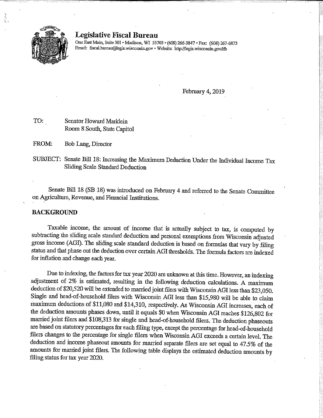

#### Legislative Fiscal Bureau

One East Main, Suite 301 · Madison, WI 53703 · (608) 266-3847 · Fax: (608) 267-6873 Email: fiscal.bureau@legis.wisconsin.gov · Website: http://legis.wisconsin.gov/lfb

February 4, 2019

TO: Senator Howard Marklein Room 8 South, State Capitol

FROM: Bob Lang, Director

SUBJECT: Senate Bill 18: Increasing the Maximum Deduction Under the Individual Income Tax Sliding Scale Standard Deduction

Senate Bill 18 (SB 18) was introduced on February 4 and referred to the Senate Committee on Agriculture, Revenue, and Financial Institutions.

#### BACKGROUND

Taxable income, the amount of income that is actually subject to tax, is computed by subtracting the sliding scale standard deduction and personal exemptions from Wisconsin adjusted gross income (AGI). The sliding scale standard deduction is based on formulas that vary by filing status and that phase out the deduction over certain AGI thresholds. The formula factors are indexed for inflation and change each year.

Due to indexing, the factors for tax year 2020 are unknown at this time. However, an indexing adjustment of 2% is estimated, resulting in the following deduction calculations. A maximum deduction of \$20,520 will be extended to married joint filers with Wisconsin AGI less than \$23,050. Single and head -of -household filers with Wisconsin AGI less than \$15,980 will be able to claim maximum deductions of \$11,080 and \$14,310, respectively. As Wisconsin AGI increases, each of the deduction amounts phases down, until it equals \$0 when Wisconsin AGI reaches \$126,802 for married joint filers and \$108,313 for single and head -of -household filers. The deduction phaseouts are based on statutory percentages for each filing type, except the percentage for head -of -household filers changes to the percentage for single filers when Wisconsin AGI exceeds a certain level. The deduction and income phaseout amounts for married separate filers are set equal to 47.5% of the amounts for married joint filers. The following table displays the estimated deduction amounts by filing status for tax year 2020.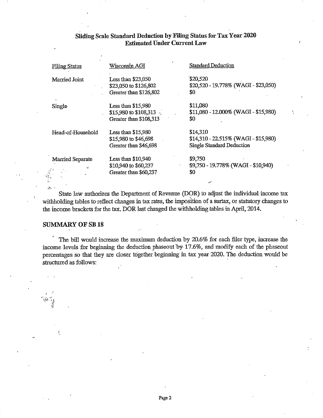| <b>Filing Status</b>             | Wisconsin AGI                                                                  | Standard Deduction                                                                     |
|----------------------------------|--------------------------------------------------------------------------------|----------------------------------------------------------------------------------------|
| Married Joint                    | Less than \$23,050<br>\$23,050 to \$126,802<br>Greater than \$126,802          | \$20,520<br>\$20,520 - 19.778% (WAGI - \$23,050)<br>\$0                                |
| Single                           | Less than $$15,980$<br>\$15,980 to \$108,313 $\cdot$<br>Greater than \$108,313 | \$11,080<br>\$11,080 - 12.000% (WAGI - \$15,980)<br>\$0                                |
| Head-of-Household                | Less than $$15,980$<br>\$15,980 to \$46,698<br>Greater than \$46,698           | \$14,310<br>$$14,310 - 22.515\%$ (WAGI - \$15,980)<br><b>Single Standard Deduction</b> |
| Married Separate<br>÷<br>e)<br>E | Less than $$10,940$<br>\$10,940 to \$60,237<br>Greater than \$60,237           | \$9,750<br>\$9,750 - 19.778% (WAGI - \$10,940)<br>SO.                                  |

# Sliding Scale Standard Deduction by Filing Status for Tax Year 2020 Estimated Under Current Law

State law authorizes the Department of Revenue (DOR) to adjust the individual income tax withholding tables to reflect changes in tax rates, the imposition of a surtax, or statutory changes to the income brackets for the tax. DOR last changed the withholding tables in April, 2014.

#### SUMMARY OF SB 18

 $\mathcal{L}_{\mathcal{P}}$ 

The bill would increase the maximum deduction by 20.6% for each filer type, increase the income levels for beginning the deduction phaseout 'by 17.6%, and modify each of the phaseout percentages so that they are closer together beginning in tax year 2020. The deduction would be structured as follows: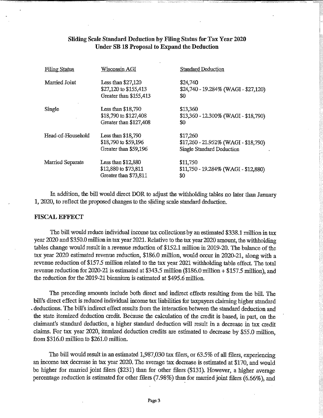### Sliding Scale Standard Deduction by Filing Status for Tax Year 2020 Under SB 18 Proposal to Expand the Deduction

| <b>Filing Status</b> | Wisconsin AGI                                                          | <b>Standard Deduction</b>                                                              |
|----------------------|------------------------------------------------------------------------|----------------------------------------------------------------------------------------|
| Married Joint        | Less than $$27,120$<br>\$27,120 to \$155,413<br>Greater than \$155,413 | \$24,740<br>$$24,740 - 19.284\%$ (WAGI - \$27,120)<br>\$0                              |
| Single               | Less than $$18,790$<br>\$18,790 to \$127,408<br>Greater than \$127,408 | \$13,360<br>$$13,360 - 12.300\%$ (WAGI - \$18,790)<br>\$0                              |
| Head-of-Household    | Less than $$18,790$<br>\$18,790 to \$59,196<br>Greater than \$59,196   | \$17,260<br>$$17,260 - 21.952\%$ (WAGI - \$18,790)<br><b>Single Standard Deduction</b> |
| Married Separate     | Less than $$12,880$<br>\$12,880 to \$73,811<br>Greater than \$73,811   | \$11,750<br>$$11,750 - 19.284\%$ (WAGI - \$12,880)<br>\$0                              |

In addition, the bill would direct DOR to adjust the withholding tables no later than January 1, 2020, to reflect the proposed changes to the sliding scale standard deduction.

#### FISCAL EFFECT

The bill would reduce individual income tax collections by an estimated \$338.1 million in tax year 2020 and \$350.0 million in tax year 2021. Relative to the tax year 2020 amount, the withholding tables change would result in a revenue reduction of \$152.1 million in 2019-20. The balance of the tax year 2020 estimated revenue reduction, \$186.0 million, would occur in 2020-21, along with a revenue reduction of \$157.5 million related to the tax year 2021 withholding table effect. The total revenue reduction for 2020-21 is estimated at \$343.5 million (\$186.0 million + \$157.5 million), and the reduction for the 2019-21 biennium is estimated at \$495.6 million.

The preceding amounts include both direct and indirect effects resulting from the bill. The bill's direct effect is reduced individual income tax liabilities for taxpayers claiming higher standard deductions. The bill's indirect effect results from the interaction between the standard deduction and the state itemized deduction credit. Because the calculation of the credit is based, in part, on the claimant's standard deduction, a higher standard deduction will result in a decrease in tax credit claims. For tax year 2020, itemized deduction credits are estimated to decrease by \$55.0 million, from \$316.0 million to \$261.0 million.

The bill would result in an estimated 1,987,030 tax filers, or 63.5% of all filers, experiencing an income tax decrease in tax year 2020. The average tax decrease is estimated at \$170, and would be higher for married joint filers (\$231) than for other filers (\$131). However, a higher average percentage reduction is estimated for other filers (7.98%) than for married joint filers (6.66%), and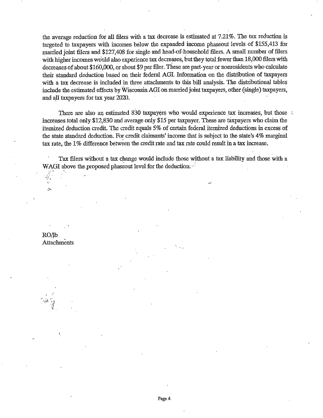the average reduction for all filers with a tax decrease is estimated at 7.21%. The tax reduction is targeted to taxpayers with incomes below the expanded income phaseout levels of \$155,413 for married joint filers and \$127,408 for single and head -of -household filers. A small number of filers with higher incomes would also experience tax decreases, but they total fewer than 18,000 filers with decreases of about \$160,000, or about \$9 per filer. These are part -year or nonresidents who calculate their standard deduction based on their federal AGI. Information on the distribution of taxpayers with a tax decrease is included in three attachments to this bill analysis. The distributional tables include the estimated effects by Wisconsin AGI on married joint taxpayers, other (single) taxpayers, and all taxpayers for tax year 2020.

There are also an estimated 830 taxpayers who would experience tax increases, but those increases total only \$12,830 and average only \$15 per taxpayer. These are taxpayers who claim the itemized deduction credit. The credit equals 5% of certain federal itemized deductions in excess of the state standard deduction. For credit claimants' income that is subject to the state's 4% marginal tax rate, the 1% difference between the credit rate and tax rate could result in a tax increase.

Tax filers without a tax change would include those without a tax liability and those with a WAGI above the proposed phaseout level for the deduction.

RO/lb Attachments

Ĵ.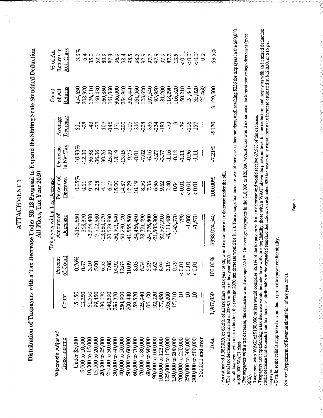|                                                                                                                                                                                                |                   |                     | Taxpayers with a Tax Decrease                                                                                                       |                        |                        |                          | Count              | $%$ of All                             |
|------------------------------------------------------------------------------------------------------------------------------------------------------------------------------------------------|-------------------|---------------------|-------------------------------------------------------------------------------------------------------------------------------------|------------------------|------------------------|--------------------------|--------------------|----------------------------------------|
| Wisconsin Adjusted<br>Gross Income                                                                                                                                                             | Count             | of Count<br>Percent | Amount of<br>Decrease                                                                                                               | Percent of<br>Decrease | in Net Tax<br>Decrease | $\rm Decress$<br>Average | Returns<br>of All  | $\Delta \text{GI Class}$<br>Returns in |
| Under \$5,000                                                                                                                                                                                  | 15,150            | 0.76%               | -\$161,650                                                                                                                          | 0.05%                  | $-10.93%$              | 511                      | 454,630            | 33%                                    |
| 5,000 to 10,000                                                                                                                                                                                | 13,350            | 0.67                | $-368,370$                                                                                                                          | 0.11                   | $-12.30$               | -28                      | 208,370            | 6.4                                    |
| 10,000 to 15,000                                                                                                                                                                               | 61,590            | 3.10                | $-2,664,400$                                                                                                                        | 0.79                   | -36.38                 | 43                       | 176,110            | 35.0                                   |
| 15,000 to 20,000<br>20,000 to 25,000                                                                                                                                                           | 130,170<br>99,450 | 5.00<br>6.55        | $-7,702,580$<br>$-13,880,070$                                                                                                       | $2.28$<br>$4.11$       | $-36.36$<br>$-30.26$   | Ľ                        | 160,480            | 62.0                                   |
| 25,000 to 30,000                                                                                                                                                                               | 140,590           | 7.08                | $-20,523,830$                                                                                                                       | 6.07                   | $-25.09$               | $-107$                   | 161,060<br>160,860 | 80.9<br>87.3                           |
| 30,000 to 40,000                                                                                                                                                                               | 296,370           | 14.92               | -50,701,640                                                                                                                         | 15.00                  | $-18.19$               | $-146$<br>$-171$         | 306,000            | 96.9                                   |
| 40,000 to 50,000                                                                                                                                                                               | 250,900           | 12.63               | $-50,280,120$                                                                                                                       | 14.87                  | $-13.05$               | -200                     | 254,940            | 98.4                                   |
| 50,000 to 60,000                                                                                                                                                                               | 200,440           | 10.09               | -41,555,860                                                                                                                         | 12.29                  | $-9.75$                | $-207$                   | 203,440            | 98.5                                   |
| 60,000 to 70,000                                                                                                                                                                               | 159,570           | 8.03                | -34,466,450                                                                                                                         | 10.19                  | $-8.01$                | $-216$                   | 161,960            | 98.5                                   |
| 70,000 to 80,000                                                                                                                                                                               | 125,940           | 6.34<br>5.29        | $-28,721,490$                                                                                                                       | 8.50                   | $-7.02$                | $-228$                   | 128,620            | 97.9                                   |
| 80,000 to 90,000                                                                                                                                                                               | 105,100           |                     | $-24,776,800$                                                                                                                       | 7.33                   | $-6.16$                | $-236$                   | 107,540            | 97.7                                   |
| 90,000 to 100,000                                                                                                                                                                              | 92,020            | 4.63                | 21,505,800                                                                                                                          | 6.36                   | 5.27<br>7.37           | $-234$                   | 93,950             | 97.9                                   |
| 100,000 to 125,000                                                                                                                                                                             | 177,450           | 8.93                | -32,507,210                                                                                                                         | 9.62                   |                        | $-183$                   | 181,200            | 97.9                                   |
| 125,000 to 150,000                                                                                                                                                                             | 103,200           | 5.19                | $-8,111,480$                                                                                                                        | 2.40                   | $-1.16$                | $-79$                    | 118,290            | 87.2                                   |
| 150,000 to 200,000                                                                                                                                                                             | 15,710            | 0.79                | $-143,370$                                                                                                                          | 0.04                   | $-0.12$                | ግ                        | 116,520            | 13.5                                   |
| 200,000 to 250,000                                                                                                                                                                             | ຊ                 | 0.01<br>v           | -790                                                                                                                                | < 0.01                 | $-1.11$                | م<br>ج                   | 50,210             | ${}_{0.01}$                            |
| 250,000 to 300,000                                                                                                                                                                             | $\Xi$             | < 0.01              | $-1,060$                                                                                                                            | < 0.01                 | $-0.96$                | $-106$                   | 24,840             | $< 0.01$                               |
| 300,000 to 500,000                                                                                                                                                                             | $\Xi$             | 0.01                | $-1,570$                                                                                                                            | ${}_{0.01}$            | 1.11                   | $-157$                   | 35,020             | $< 0.01$                               |
| $500,000$ and over                                                                                                                                                                             |                   |                     |                                                                                                                                     | $\mid$                 | ł                      |                          | 25,460             | 0.0                                    |
| Total                                                                                                                                                                                          | 1,987,030         | 100.00%             | $-$338,074,540$                                                                                                                     | 100.00%                | $-7.21%$               | -\$170                   | 3,129,500          | 63.5%                                  |
| An estimated 1,987,030, or 63.5% of all tax filers in tax year 2020, would experience a tax decrease under the bill<br>The total tax decrease is estimated at \$338.1 million in tax year 2020 |                   |                     |                                                                                                                                     |                        |                        |                          |                    |                                        |
| For all taxpayers with a tax reduction, the average 2020<br>\$90,000 WAGI class.                                                                                                               |                   |                     | tax decrease would be \$170. The average tax decrease would increase as income rises, until reaching \$236 for taxpayers in the \$8 |                        |                        |                          |                    |                                        |
| For taxpayers with a tax decrease, the decrease would average 7.21%. On average, taxpayers in the \$10,000 to \$20,000 WAGI class would experience the largest percentage decreases (or<br>Š.  |                   |                     |                                                                                                                                     |                        |                        |                          |                    |                                        |
| axpayers with WAGI of \$100,000 or less would comprise 85.1% of the taxpayers with a tax decrease and would receive 87.9% of the decrease.                                                     |                   |                     |                                                                                                                                     |                        |                        |                          |                    |                                        |
| amport not eveniencing a tey decrease would index                                                                                                                                              |                   | o thone             |                                                                                                                                     |                        |                        |                          |                    |                                        |

. An estimated 1,987,030, or 63.5% of all tax filers in tax year 2020, would experience a tax decrease under the bill.<br>- For all taxpayers with a tax reduction, the acrease would be 3.770. The average tax decrease would in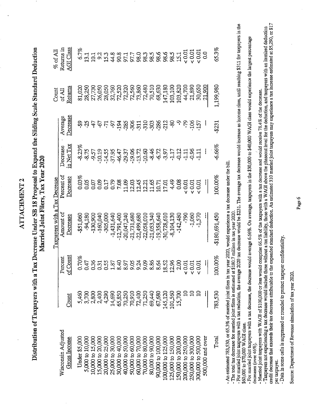|                                                                                                                                                                                                                               |          |                            | Taxpayers with a Tax Decrease                                                                         |                        |                        |                          | Count             | $\%$ of All                    |
|-------------------------------------------------------------------------------------------------------------------------------------------------------------------------------------------------------------------------------|----------|----------------------------|-------------------------------------------------------------------------------------------------------|------------------------|------------------------|--------------------------|-------------------|--------------------------------|
| Wisconsin Adjusted<br><b>Gross Income</b>                                                                                                                                                                                     | Count    | <u>of Count</u><br>Percent | Amount of<br>Decrease                                                                                 | Percent of<br>Decrease | in Net Tax<br>Decrease | Decrease<br>Average      | Returns<br>of All | Returns in<br><b>AGI Class</b> |
| <b>Under \$5,000</b>                                                                                                                                                                                                          | 5,460    | 0.70%                      | $-$ \$51,060                                                                                          | 0.03%                  | $-8.23%$               | အု                       | 81,020            | 6.7%                           |
| 5,000 to 10,000                                                                                                                                                                                                               | 3,700    | 0.47                       | -94,180                                                                                               | 0.05                   | $-8.75$                | $\mathfrak{L}$           | 28,250            | 13.1                           |
| 10,000 to 15,000                                                                                                                                                                                                              | 2,800    | 0.36                       | $-130,900$                                                                                            | 0.07                   | -9.57                  | 47                       | 27,730            | 101                            |
| 15,000 to 20,000                                                                                                                                                                                                              | 2,400    | 0.31                       | $-160,040$                                                                                            | 0.09                   | $-10.19$               | 4                        | 26,050            | 9.2                            |
| 20,000 to 25,000                                                                                                                                                                                                              | 4,290    | 0.55                       | $-305,000$                                                                                            | 0.17                   | $-14.55$               | $\overline{7}$           | 28,050            | 15.3                           |
| 25,000 to 30,000                                                                                                                                                                                                              | 14,690   | $1.87\,$                   | $-1,431,640$                                                                                          | 0.79                   | $-37.95$               | -97                      | 32,760            | 44.8                           |
| 30,000 to 40,000                                                                                                                                                                                                              | 65,850   | 8.40                       | $-12,791,400$                                                                                         | 7.08                   | $-46.47$               | $-194$                   | 72,520            | 90.8                           |
| 40,000 to 50,000                                                                                                                                                                                                              | 70,250   | 8.97                       | $-20,047,240$                                                                                         | 11.09                  | -29.37                 | $-285$                   | 72,320            | 97.7<br>97.7<br>98.88          |
| 50,000 to 60,000                                                                                                                                                                                                              | 70,910   | 9.05                       | $-21,731,680$                                                                                         | 12.03                  | $-19.06$               | -306                     | 72,560            |                                |
| 60,000 to 70,000                                                                                                                                                                                                              | 72,400   | 9.24                       | $-22,499,680$                                                                                         | 12.45                  | $-13.72$               |                          | 73,860            |                                |
| 70,000 to 80,000                                                                                                                                                                                                              | 71,250   | 9.09                       | $-22,058,010$                                                                                         | 12.21                  | $-10.60$               | $-311$<br>$-310$         | 72,480            |                                |
| 80,000 to 90,000                                                                                                                                                                                                              | 69,440   | 8.86                       | $-21,053,340$                                                                                         | 11.65                  | $-8.46$                | $-303$                   | 70,510            |                                |
| 90,000 to 100,000                                                                                                                                                                                                             | 67,680   | 8.64                       | $-19,358,640$                                                                                         | 10.71                  | $-6.72$                | $-286$                   | 68,630            | 98.6                           |
| 100,000 to 125,000                                                                                                                                                                                                            | 145,120  | 18.52                      | -30,728,610                                                                                           | 17.01                  | -3.97                  | -212                     | 147,180           | 98.6                           |
| 125,000 to 150,000                                                                                                                                                                                                            | 101,560  | 12.96                      | $-8,104,130$                                                                                          | 4.49                   | 7.17                   | ဆို                      | 103,100           | 98.5                           |
| L50,000 to 200,000                                                                                                                                                                                                            | 15,700   | 2.00                       | $-142,480$                                                                                            | 0.08                   | $-0.12$                | ግ                        | 103,820           | 15.1                           |
| 200,000 to 250,000                                                                                                                                                                                                            | $\Omega$ | $\sim 0.01$                | 064-                                                                                                  | < 0.01                 | $-1.11$                | 579                      | 44,700            | 0.01                           |
| 250,000 to 300,000                                                                                                                                                                                                            | $\Xi$    | 0.01                       | $-1,060$                                                                                              | 0.01                   | $-0.96$                | -106                     | 21,890            | $< 0.01$                       |
| 300,000 to 500,000                                                                                                                                                                                                            | ≘        | ${}_{0.01}$                | $-1,570$                                                                                              | < 0.01                 | $-1.11$                | $-157$                   | 30,650            | 10.01                          |
| 500,000 and over                                                                                                                                                                                                              |          | ij                         | j,                                                                                                    | Ł                      | ł                      | $\overline{\phantom{a}}$ | 21.900            | $\overline{0}$                 |
| Total                                                                                                                                                                                                                         | 783,530  | $100.00\%$                 | $-180,691,450$                                                                                        | 100.00%                | $-6.66%$               | -\$231                   | 1,199,980         | 65.3%                          |
| The total tax decrease for married joint filers is estimated<br>An estimated 783,530, or 65.3% of married joint filers in                                                                                                     |          |                            | tax year 2020, would experience a tax decrease under the bill<br>at \$180.7 million in tax vear 2020. |                        |                        |                          |                   |                                |
| For married joint taxpayers with a tax reduction, the average 2020 tax decrease would be \$231. The average tax decrease would increase as income rises, until reaching \$311 for taxpayers<br>60,000 to \$70,000 WAGI class. |          |                            |                                                                                                       |                        |                        |                          |                   |                                |
| or married joint taxpayers with a tax decrease, the decrease would average 6.66%. On average, taxpayers in the \$30,000 to \$40,000 WAOI class would experience the largest percentage                                        |          |                            |                                                                                                       |                        |                        |                          |                   |                                |
| Married joint taxpayers with WAGI of \$100,000 or less would comprise 66.5% of the taxpayers with a tax decrease and would receive 78.4% of the decrease.<br>creases (over 46%)                                               |          |                            |                                                                                                       |                        |                        |                          |                   |                                |
|                                                                                                                                                                                                                               |          |                            |                                                                                                       |                        |                        |                          |                   |                                |

- An estimated 783,530, or 63.3% of married joint filers in tax year 2020, would experience a tax decrease under the bill.<br>- For martied joint taxpers with a tax reduced at \$2007 mailera in when the 2031. The average tax d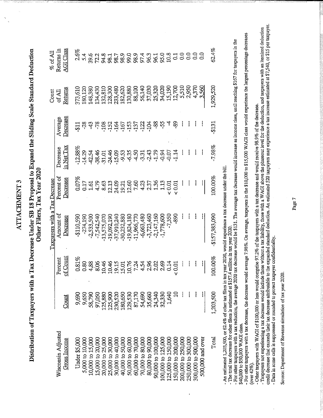|                                                                                                                                                                                                                                                                  |           |                     | Taxpayers with a Tax Decrease |                        |                               |                     | Count             | $\%$ of All                    |
|------------------------------------------------------------------------------------------------------------------------------------------------------------------------------------------------------------------------------------------------------------------|-----------|---------------------|-------------------------------|------------------------|-------------------------------|---------------------|-------------------|--------------------------------|
| Wisconsin Adjusted<br><b>Gross Income</b>                                                                                                                                                                                                                        | Count     | of Count<br>Percent | Amount of<br>Decrease         | Percent of<br>Decrease | <u>in Net Tax</u><br>Decrease | Decrease<br>Average | Returns<br>of All | <b>AGI Class</b><br>Returns in |
| <b>Under \$5,000</b>                                                                                                                                                                                                                                             | 9,690     | 0.81%               | -\$110,590                    | 0.07%                  | $-12.88%$                     | 511                 | 373,610           | 2.5%                           |
| 5,000 to 10,000                                                                                                                                                                                                                                                  | 9,650     | 0.80                | $-274,190$                    | <b>CIT</b>             | $-14.29$                      | $-28$               | 180,120           | 5.4                            |
| 10,000 to 15,000                                                                                                                                                                                                                                                 | 58,790    | 4,88                | $-2,533,500$                  | 1.61                   | 42.54                         | $\ddot{d}$          | 148,380           | 39.6                           |
| 15,000 to 20,000                                                                                                                                                                                                                                                 | 97,050    | 8.06                | $-7,542,540$                  | 4.79                   | $-38.46$                      | $-78$               | 134,430           | 72.2                           |
| 20,000 to 25,000                                                                                                                                                                                                                                                 | 125,880   | 10.46               | $-13,575,070$                 | 8.63                   | $-31.01$                      | $-108$              | 132,810           | 94.8                           |
| 25,000 to 30,000                                                                                                                                                                                                                                                 | 125,900   | 10.46               | $-19,092,190$                 | 12.13                  | $-24.46$                      | $-152$              | 128,300           | 98.1                           |
| 30,000 to 40,000                                                                                                                                                                                                                                                 | 230,520   | 19.15               | -37,910,240                   | 24.09                  | $-15.09$                      | $-164$<br>$-167$    | 233,480           | 98.7                           |
| 40,000 to 50,000                                                                                                                                                                                                                                                 | 180,650   | 15.01               | -30,232,880                   | 19.21                  | -9.53                         |                     | 182,620           | 98.9                           |
| 50,000 to 60,000                                                                                                                                                                                                                                                 | 129,530   | 10.76               | $-19,824,180$                 | 12.60                  | $-6.35$                       | $-153$              | 130,880           | 99.0                           |
| 60,000 to 70,000                                                                                                                                                                                                                                                 | 87,170    | 7.24                | -11,966,770                   | 7.60                   | $-4.50$                       | $-137$              | 88,100            | 98.9                           |
| 70,000 to 80,000                                                                                                                                                                                                                                                 | 54,690    | 4.54                | $-6,663,480$                  | 4.23                   | $-3.31$                       | $-122$              | 56,140            | 97.4                           |
| 80,000 to 90,000                                                                                                                                                                                                                                                 | 35,660    | 2.96                | $-3,723,460$                  | 2.37                   | $-2.43$                       | $-104$              | 37,030            | 96.3<br>96.1                   |
| 90,000 to 100,000                                                                                                                                                                                                                                                | 24,340    | 2.02                | $-2,147,160$                  | 1.36                   | $-1.79$                       | -88                 | 25,320            |                                |
| 100,000 to 125,000                                                                                                                                                                                                                                               | 32,330    | 2.69                | $-1,778,600$                  | 1.13                   | $-0.94$                       | -55                 | 34,020            | 95.0                           |
| 125,000 to 150,000                                                                                                                                                                                                                                               | 1,640     | 0.14                | $-7,350$                      | 0.01                   | $-0.07$                       | 4                   | 15,190            | 10.8                           |
| 50,000 to 200,000                                                                                                                                                                                                                                                | $\Xi$     | 0.01<br>v           | -890                          | 0.01                   | 1.14                          | 89                  | 12,700            | $\overline{c}$                 |
| 200,000 to 250,000                                                                                                                                                                                                                                               |           |                     |                               |                        |                               |                     | 5,510             | $\overline{0.0}$               |
| 250,000 to 300,000                                                                                                                                                                                                                                               |           |                     |                               |                        |                               |                     | 2,950             | 60                             |
| 300,000 to 500,000                                                                                                                                                                                                                                               |           |                     |                               |                        |                               |                     | 4,370             | 0.0                            |
| 500,000 and over                                                                                                                                                                                                                                                 |           | Π                   |                               |                        |                               |                     | 3,560             | $\overline{c}$                 |
| Total                                                                                                                                                                                                                                                            | 1,203,500 | 100.00%             | $-$157,383,090$               | 100.00%                | $-7.98%$                      | -\$131              | 1,929,520         | 62.4%                          |
| An estimated 1,203,500, or 62.4% of other tax filers in tax year 2020, would experience a tax decrease under the bill<br>The total tax decrease for other filers is estimated at \$157.4 million in tax year 2020.                                               |           |                     |                               |                        |                               |                     |                   |                                |
| For other taxpayers with a tax reduction, the average 2020 tax decrease would everege tax decrease would increase as income rises, until reaching \$167 for taxpayers in the section of the section of the section of the avera<br>0,000 to \$50,000 WAGI class. |           |                     |                               |                        |                               |                     |                   |                                |
| For other taxpayers with a tax decrease, the decrease would average 7.98%. On average, taxpayers in the \$10,000 to \$15,000 WAGI class would experience the largest percentage decre<br>ver 42%).                                                               |           |                     |                               |                        |                               |                     |                   |                                |
| Other taxpayers with WAGI of \$100,000 or less would comprise 97.2% of the taxpayers with a tax decrease and would receive 98.9% of the decrease.                                                                                                                |           |                     |                               |                        |                               |                     |                   |                                |
|                                                                                                                                                                                                                                                                  |           |                     |                               |                        |                               |                     |                   |                                |

. An estimated 1,203,500, or 62.4% of other tax files; in tx year 2020, would experiance a tax decrease under the bill.<br>- For other taxpores with a tax reduction, the average 2020 and to 8131. The average tax decrease woul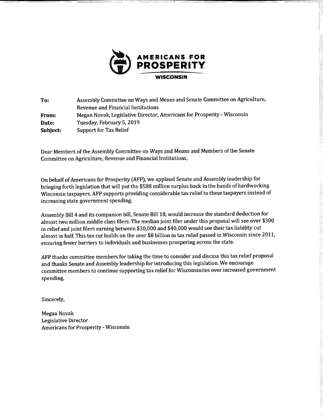

To: Assembly Committee on Ways and Means and Senate Committee on Agriculture, Revenue and Financial Institutions From: Megan Novak, Legislative Director, Americans for Prosperity - Wisconsin Date: Tuesday, February 5, 2019 Subject: Support for Tax Relief

Dear Members of the Assembly Committee on Ways and Means and Members of the Senate Committee on Agriculture, Revenue and Financial Institutions,

On behalf of Americans for Prosperity (AFP), we applaud Senate and Assembly leadership for bringing forth legislation that will put the \$588 million surplus back in the hands of hardworking Wisconsin taxpayers. AFP supports providing considerable tax relief to these taxpayers instead of increasing state government spending.

Assembly Bill 4 and its companion bill, Senate Bill 18, would increase the standard deduction for almost two million middle class filers. The median joint filer under this proposal will see over \$300 in relief and joint filers earning between \$30,000 and \$40,000 would see their tax liability cut almost in half. This tax cut builds on the over \$8 billion in tax relief passed in Wisconsin since 2011, ensuring fewer barriers to individuals and businesses prospering across the state.

AFP thanks committee members for taking the time to consider and discuss this tax relief proposal and thanks Senate and Assembly leadership for introducing this legislation. We encourage committee members to continue supporting tax relief for Wisconsinites over increased government spending.

Sincerely,

Megan Novak Legislative Director Americans for Prosperity - Wisconsin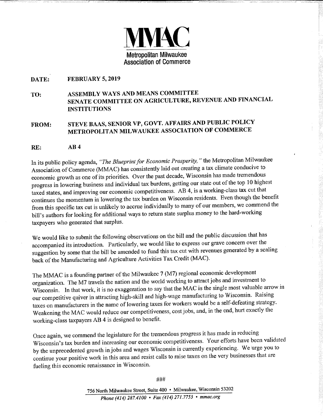

#### DATE: FEBRUARY 5, 2019

# TO: ASSEMBLY WAYS AND MEANS COMMITTEE SENATE COMMITTEE ON AGRICULTURE, REVENUE AND FINANCIAL INSTITUTIONS

# FROM: STEVE BAAS, SENIOR VP, GOVT. AFFAIRS AND PUBLIC POLICY METROPOLITAN MILWAUKEE ASSOCIATION OF COMMERCE

#### RE: AB 4

In its public policy agenda, "The Blueprint for Economic Prosperity, " the Metropolitan Milwaukee Association of Commerce (MMAC) has consistently laid out creating a tax climate conducive to economic growth as one of its priorities. Over the past decade, Wisconsin has made tremendous progress in lowering business and individual tax burdens, getting our state out of the top 10 highest taxed states, and improving our economic competitiveness. AB 4, is a working-class tax cut that continues the momentum in lowering the tax burden on Wisconsin residents. Even though the benefit from this specific tax cut is unlikely to accrue individually to many of our members, we commend the bill's authors for looking for additional ways to return state surplus money to the hard-working taxpayers who generated that surplus.

We would like to submit the following observations on the bill and the public discussion that has accompanied its introduction. Particularly, we would like to express our grave concern over the suggestion by some that the bill be amended to fund this tax cut with revenues generated by a scaling back of the Manufacturing and Agriculture Activities Tax Credit (MAC).

The MMAC is a founding partner of the Milwaukee 7 (M7) regional economic development organization. The M7 travels the nation and the world working to attract jobs and investment to Wisconsin. In that work, it is no exaggeration to say that the MAC is the single most valuable arrow in our competitive quiver in attracting high-skill and high-wage manufacturing to Wisconsin. Raising taxes on manufacturers in the name of lowering taxes for workers would be a self-defeating strategy. Weakening the MAC would reduce our competitiveness, costjobs, and, in the end, hurt exactly the working-class taxpayers AB 4 is designed to benefit.

Once again, we commend the legislature for the tremendous progress it has made in reducing Wisconsin's tax burden and increasing our economic competitiveness. Your efforts have been validated by the unprecedented growth in jobs and wages Wisconsin is currently experiencing. We urge you to continue your positive work in this area and resist calls to raise taxes on the very businesses that are fueling this economic renaissance in Wisconsin.

###

756 North Milwaukee Street, Suite 400 · Milwaukee, Wisconsin 53202 Phone (414) 287.4100 • Fax (414) 271.7753 • mmac.org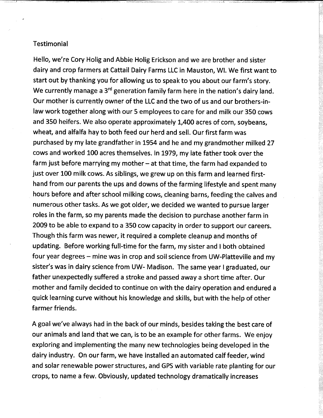### **Testimonial**

Hello, we're Cory Holig and Abbie Holig Erickson and we are brother and sister dairy and crop farmers at Cattail Dairy Farms LLC in Mauston, WI. We first want to start out by thanking you for allowing us to speak to you about our farm's story. We currently manage a 3<sup>rd</sup> generation family farm here in the nation's dairy land. Our mother is currently owner of the LLC and the two of us and our brothers-inlaw work together along with our 5 employees to care for and milk our 350 cows and 350 heifers. We also operate approximately 1,400 acres of corn, soybeans, wheat, and alfalfa hay to both feed our herd and sell. Our first farm was purchased by my late grandfather in 1954 and he and my grandmother milked 27 cows and worked 100 acres themselves. In 1979, my late father took over the farm just before marrying my mother  $-$  at that time, the farm had expanded to just over 100 milk cows. As siblings, we grew up on this farm and learned firsthand from our parents the ups and downs of the farming lifestyle and spent many hours before and after school milking cows, cleaning barns, feeding the calves and numerous other tasks. As we got older, we decided we wanted to pursue larger roles in the farm, so my parents made the decision to purchase another farm in 2009 to be able to expand to a 350 cow capacity in order to support our careers. Though this farm was newer, it required a complete cleanup and months of updating. Before working full-time for the farm, my sister and I both obtained four year degrees – mine was in crop and soil science from UW-Platteville and my sister's was in dairy science from UW- Madison. The same year I graduated, our father unexpectedly suffered a stroke and passed away a short time after. Our mother and family decided to continue on with the dairy operation and endured a quick learning curve without his knowledge and skills, but with the help of other farmer friends.

A goal we've always had in the back of our minds, besides taking the best care of our animals and land that we can, is to be an example for other farms. We enjoy exploring and implementing the many new technologies being developed in the dairy industry. On our farm, we have installed an automated calf feeder, wind and solar renewable power structures, and GPS with variable rate planting for our crops, to name a few. Obviously, updated technology dramatically increases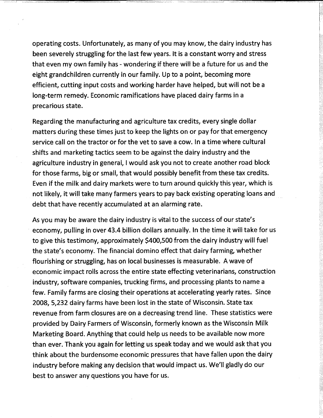operating costs. Unfortunately, as many of you may know, the dairy industry has been severely struggling for the last few years. It is a constant worry and stress that even my own family has - wondering if there will be a future for us and the eight grandchildren currently in our family. Up to a point, becoming more efficient, cutting input costs and working harder have helped, but will not be a long-term remedy. Economic ramifications have placed dairy farms in a precarious state.

- ------------ - - - - - -

Regarding the manufacturing and agriculture tax credits, every single dollar matters during these times just to keep the lights on or pay for that emergency service call on the tractor or for the vet to save a cow. In a time where cultural shifts and marketing tactics seem to be against the dairy industry and the agriculture industry in general, I would ask you not to create another road block for those farms, big or small, that would possibly benefit from these tax credits. Even if the milk and dairy markets were to turn around quickly this year, which is not likely, it will take many farmers years to pay back existing operating loans and debt that have recently accumulated at an alarming rate.

As you may be aware the dairy industry is vital to the success of our state's economy, pulling in over 43.4 billion dollars annually. In the time it will take for us to give this testimony, approximately \$400,500 from the dairy industry will fuel the state's economy. The financial domino effect that dairy farming, whether flourishing or struggling, has on local businesses is measurable. A wave of economic impact rolls across the entire state effecting veterinarians, construction industry, software companies, trucking firms, and processing plants to name a few. Family farms are closing their operations at accelerating yearly rates. Since 2008, 5,232 dairy farms have been lost in the state of Wisconsin. State tax revenue from farm closures are on a decreasing trend line. These statistics were provided by. Dairy Farmers of Wisconsin, formerly known as the Wisconsin Milk Marketing Board. Anything that could help us needs to be available now more than ever. Thank you again for letting us speak today and we would ask that you think about the burdensome economic pressures that have fallen upon the dairy industry before making any decision that would impact us. We'll gladly do our best to answer any questions you have for us.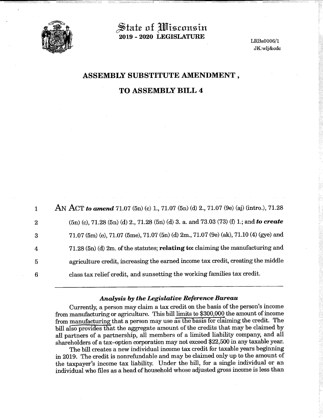

State of *Wisconsin* 2019 - 2020 LEGISLATURE

LRBs0006/1 JK:w1j&cdc

# ASSEMBLY SUBSTITUTE AMENDMENT ,

# TO ASSEMBLY BILL 4

| $\mathbf{1}$   | AN ACT to amend 71.07 (5n) (c) 1, 71.07 (5n) (d) 2, 71.07 (9e) (aj) (intro.), 71.28      |
|----------------|------------------------------------------------------------------------------------------|
| $\overline{2}$ | $(5n)$ (c), 71.28 (5n) (d) 2., 71.28 (5n) (d) 3. a. and 73.03 (73) (f) 1.; and to create |
| 3              | 71.07 (5m) (e), 71.07 (5me), 71.07 (5n) (d) 2m., 71.07 (9e) (ak), 71.10 (4) (gye) and    |
| $\overline{4}$ | 71.28 (5n) (d) 2m. of the statutes; relating to: claiming the manufacturing and          |
| $\overline{5}$ | agriculture credit, increasing the earned income tax credit, creating the middle         |
| 6              | class tax relief credit, and sunsetting the working families tax credit.                 |

#### Analysis by the Legislative Reference Bureau

Currently, a person may claim a tax credit on the basis of the person's income from manufacturing or agriculture. This bill limits to \$300,000 the amount of income from manufacturing that a person may use as the basis for claiming the credit. The bill also provides that the aggregate amount of the credits that may be claimed by all partners of a partnership, all members of a limited liability company, and all shareholders of a tax -option corporation may not exceed \$22,500 in any taxable year.

The bill creates a new individual income tax credit for taxable years beginning in 2019. The credit is nonrefundable and may be claimed only up to the amount of the taxpayer's income tax liability. Under the bill, for a single individual or an individual who files as a head of household whose adjusted gross income is less than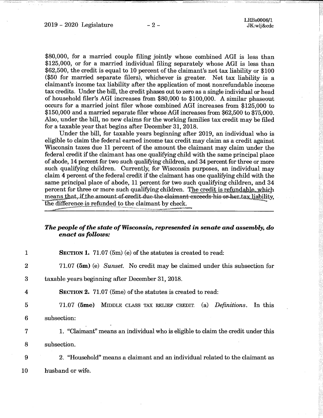\$80,000, for a married couple filing jointly whose combined AGI is less than \$125,000, or for a married individual filing separately whose AGI is less than \$62,500, the credit is equal to 10 percent of the claimant's net tax liability or \$100 (\$50 for married separate filers), whichever is greater. Net tax liability is a claimant's income tax liability after the application of most nonrefundable income tax credits. Under the bill, the credit phases out to zero as a single individual or head of household filer's AGI increases from \$80,000 to \$100,000. A similar phaseout occurs for a married joint filer whose combined AGI increases from \$125,000 to \$150,000 and a married separate filer whose AGI increases from \$62,500 to \$75,000. Also, under the bill, no new claims for the working families tax credit may be filed for a taxable year that begins after December 31, 2018.

Under the bill, for taxable years beginning after 2019, an individual who is eligible to claim the federal earned income tax credit may claim as a credit against Wisconsin taxes due 11 percent of the amount the claimant may claim under the federal credit if the claimant has one qualifying child with the same principal place of abode, 14 percent for two such qualifying children, and 34 percent for three or more such qualifying children. Currently, for Wisconsin purposes, an individual may claim 4 percent of the federal credit if the claimant has one qualifying child with the same principal place of abode, 11 percent for two such qualifying children, and 34 percent for three or more such qualifying children. The credit is refundable, which means that, if the amount-of-credit-due-the-elaimant-exceeds-his-or-her-tax, liability, the difference is refunded to the claimant by check.

#### The people of the state of Wisconsin, represented in senate and assembly, do enact as follows:

|                | SECTION 1. 71.07 $(5m)$ (e) of the statutes is created to read:                  |
|----------------|----------------------------------------------------------------------------------|
| $\overline{2}$ | 71.07 (5m) (e) Sunset. No credit may be claimed under this subsection for        |
| 3              | taxable years beginning after December 31, 2018.                                 |
| 4              | <b>SECTION 2.</b> 71.07 (5me) of the statutes is created to read:                |
| $\overline{5}$ | 71.07 (5me) MIDDLE CLASS TAX RELIEF CREDIT.<br>(a) Definitions.<br>In this       |
| 6              | subsection:                                                                      |
| 7              | 1. "Claimant" means an individual who is eligible to claim the credit under this |
| 8              | subsection.                                                                      |
| 9              | 2. "Household" means a claimant and an individual related to the claimant as     |
| 10             | husband or wife.                                                                 |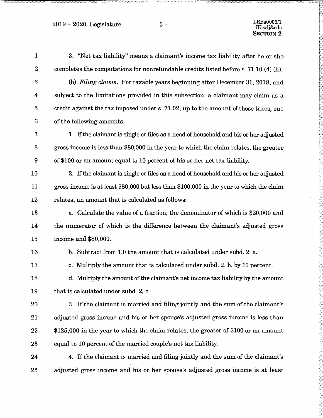2019 - 2020 Legislature -3 -

 $\hat{\mathcal{A}}$ 

 $\bar{z}$ 

 $\ddot{\phantom{a}}$ 

| $\mathbf{1}$            | 3. "Net tax liability" means a claimant's income tax liability after he or she           |
|-------------------------|------------------------------------------------------------------------------------------|
| $\boldsymbol{2}$        | completes the computations for nonrefundable credits listed before s. 71.10 (4) (h).     |
| $\boldsymbol{3}$        | (b) Filing claims. For taxable years beginning after December 31, 2018, and              |
| $\overline{\mathbf{4}}$ | subject to the limitations provided in this subsection, a claimant may claim as a        |
| $\mathbf 5$             | credit against the tax imposed under s. 71.02, up to the amount of those taxes, one      |
| 6                       | of the following amounts:                                                                |
| 7                       | 1. If the claimant is single or files as a head of household and his or her adjusted     |
| $\boldsymbol{8}$        | gross income is less than \$80,000 in the year to which the claim relates, the greater   |
| $\boldsymbol{9}$        | of \$100 or an amount equal to 10 percent of his or her net tax liability.               |
| 10                      | 2. If the claimant is single or files as a head of household and his or her adjusted     |
| 11                      | gross income is at least \$80,000 but less than \$100,000 in the year to which the claim |
| 12                      | relates, an amount that is calculated as follows:                                        |
| 13                      | a. Calculate the value of a fraction, the denominator of which is \$20,000 and           |
| 14                      | the numerator of which is the difference between the claimant's adjusted gross           |
| 15                      | income and \$80,000.                                                                     |
| 16                      | b. Subtract from 1.0 the amount that is calculated under subd. 2. a.                     |
| 17                      | c. Multiply the amount that is calculated under subd. 2. b. by 10 percent.               |
| 18                      | d. Multiply the amount of the claimant's net income tax liability by the amount          |
| 19                      | that is calculated under subd. 2, c.                                                     |
| 20                      | 3. If the claimant is married and filing jointly and the sum of the claimant's           |
| 21                      | adjusted gross income and his or her spouse's adjusted gross income is less than         |
| 22                      | \$125,000 in the year to which the claim relates, the greater of \$100 or an amount      |
| 23                      | equal to 10 percent of the married couple's net tax liability.                           |
| 24                      | 4. If the claimant is married and filing jointly and the sum of the claimant's           |
| 25                      | adjusted gross income and his or her spouse's adjusted gross income is at least          |
|                         |                                                                                          |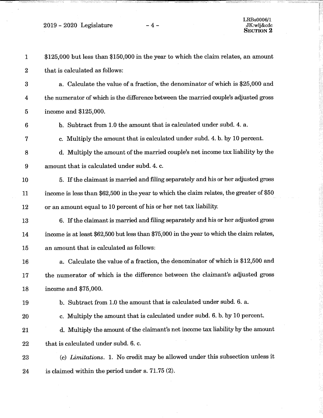$2019 - 2020$  Legislature  $-4$  -

| $\mathbf{1}$     | \$125,000 but less than \$150,000 in the year to which the claim relates, an amount        |
|------------------|--------------------------------------------------------------------------------------------|
| $\boldsymbol{2}$ | that is calculated as follows:                                                             |
| $\boldsymbol{3}$ | a. Calculate the value of a fraction, the denominator of which is \$25,000 and             |
| $\boldsymbol{4}$ | the numerator of which is the difference between the married couple's adjusted gross       |
| $\overline{5}$   | income and \$125,000.                                                                      |
| 6                | b. Subtract from 1.0 the amount that is calculated under subd. 4. a.                       |
| $\boldsymbol{7}$ | c. Multiply the amount that is calculated under subd. 4. b. by 10 percent.                 |
| 8                | d. Multiply the amount of the married couple's net income tax liability by the             |
| 9                | amount that is calculated under subd. 4. c.                                                |
| 10               | 5. If the claimant is married and filing separately and his or her adjusted gross          |
| 11               | income is less than \$62,500 in the year to which the claim relates, the greater of \$50   |
| 12               | or an amount equal to 10 percent of his or her net tax liability.                          |
| 13               | 6. If the claimant is married and filing separately and his or her adjusted gross          |
| 14               | income is at least \$62,500 but less than \$75,000 in the year to which the claim relates, |
| 15               | an amount that is calculated as follows:                                                   |
| 16               | a. Calculate the value of a fraction, the denominator of which is \$12,500 and             |
| 17               | the numerator of which is the difference between the claimant's adjusted gross             |
| 18               | income and \$75,000.                                                                       |
| 19               | b. Subtract from 1.0 the amount that is calculated under subd. 6. a.                       |
| 20               | c. Multiply the amount that is calculated under subd. 6. b. by 10 percent.                 |
| 21               | d. Multiply the amount of the claimant's net income tax liability by the amount            |
| 22               | that is calculated under subd. 6. c.                                                       |
| 23               | (c) Limitations. 1. No credit may be allowed under this subsection unless it               |
| 24               | is claimed within the period under s. $71.75(2)$ .                                         |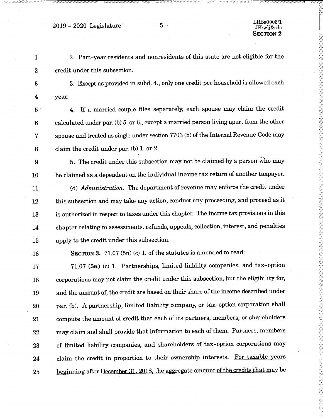$2019 - 2020$  Legislature  $-5 -$ <br> $\frac{LRBs0006/1}{LRwhkcdc}$ 

 2. Part -year residents and nonresidents of this state are not eligible for the credit under this subsection. 3. Except as provided in subd. 4., only one credit per household is allowed each year. 4. If a married couple files separately, each spouse may claim the credit calculated under par. (b) 5. or 6., except a married person living apart from the other spouse and treated as single under section 7703 (b) of the Internal Revenue Code may claim the credit under par. (b) 1. or 2. 5. The credit under this subsection may not be claimed by a person who may be claimed as a dependent on the individual income tax return of another taxpayer. 11 (d) Administration. The department of revenue may enforce the credit under this subsection and may take any action, conduct any proceeding, and proceed as it is authorized in respect to taxes under this chapter. The income tax provisionsin this chapter relating to assessments, refunds, appeals, collection, interest, and penalties apply to the credit under this subsection. 16 SECTION 3. 71.07 (5n) (c) 1. of the statutes is amended to read: 17 71.07 (5n) (c) 1. Partnerships, limited liability companies, and tax-option corporations may not claim the credit under this subsection, but the eligibility for, and the amount of, the credit are based on their share of the income described under par. (b). A partnership, limited liability company, or tax -option corporation shall compute the amount of credit that each of its partners, members, or shareholders may claim and shall provide that information to each of them. Partners, members of limited liability companies, and shareholders of tax -option corporations may 24 claim the credit in proportion to their ownership interests. For taxable years beginning after December 31, 2018, the aggregate amount of the credits that may be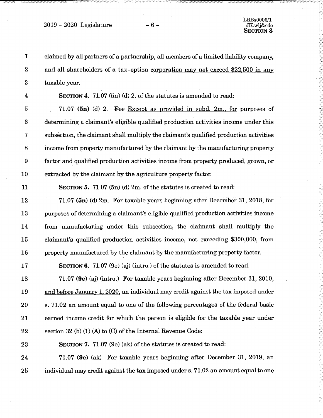2019 - 2020 Legislature  $-6$  -

LRBs0006/1 JK:w1j&cdc SECTION 3

| $\mathbf{1}$     | claimed by all partners of a partnership, all members of a limited liability company,  |
|------------------|----------------------------------------------------------------------------------------|
| $\boldsymbol{2}$ | and all shareholders of a tax-option corporation may not exceed \$22,500 in any        |
| $\boldsymbol{3}$ | taxable year.                                                                          |
| 4                | SECTION 4. 71.07 $(5n)$ (d) 2. of the statutes is amended to read:                     |
| $\overline{5}$   | 71.07 (5n) (d) 2. For Except as provided in subd. 2m., for purposes of                 |
| 6                | determining a claimant's eligible qualified production activities income under this    |
| 7                | subsection, the claimant shall multiply the claimant's qualified production activities |
| 8                | income from property manufactured by the claimant by the manufacturing property        |
| $\boldsymbol{9}$ | factor and qualified production activities income from property produced, grown, or    |
| 10               | extracted by the claimant by the agriculture property factor.                          |
| 11               | <b>SECTION 5.</b> 71.07 $(5n)$ (d) 2m. of the statutes is created to read:             |
| 12               | 71.07 (5n) (d) 2m. For taxable years beginning after December 31, 2018, for            |
| 13               | purposes of determining a claimant's eligible qualified production activities income   |
| 14               | from manufacturing under this subsection, the claimant shall multiply the              |
| 15               | claimant's qualified production activities income, not exceeding \$300,000, from       |
| 16               | property manufactured by the claimant by the manufacturing property factor.            |
| 17               | SECTION 6. 71.07 (9e) (aj) (intro.) of the statutes is amended to read:                |
| 18               | 71.07 (9e) (aj) (intro.) For taxable years beginning after December 31, 2010,          |
| 19               | and before January 1, 2020, an individual may credit against the tax imposed under     |
| 20               | s. 71.02 an amount equal to one of the following percentages of the federal basic      |
| 21               | earned income credit for which the person is eligible for the taxable year under       |
| 22               | section 32 (b) $(1)$ (A) to $(C)$ of the Internal Revenue Code:                        |
| 23               | SECTION 7. 71.07 (9e) (ak) of the statutes is created to read:                         |
| 24               | 71.07 (9e) (ak) For taxable years beginning after December 31, 2019, an                |
| 25               | individual may credit against the tax imposed under s. 71.02 an amount equal to one    |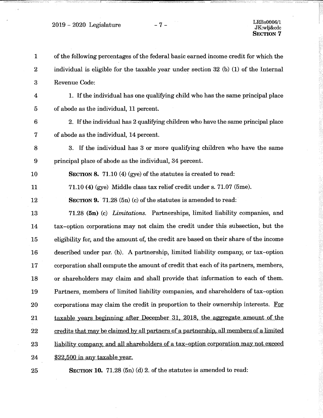$2019 - 2020$  Legislature  $-7 -$ 

. a

| $\mathbf{1}$ | of the following percentages of the federal basic earned income credit for which the   |
|--------------|----------------------------------------------------------------------------------------|
| $\bf{2}$     | individual is eligible for the taxable year under section $32$ (b) (1) of the Internal |
| $\bf{3}$     | Revenue Code:                                                                          |
| 4            | 1. If the individual has one qualifying child who has the same principal place         |
| 5            | of abode as the individual, 11 percent.                                                |
| $\bf 6$      | 2. If the individual has 2 qualifying children who have the same principal place       |
| 7            | of abode as the individual, 14 percent.                                                |
| 8            | 3. If the individual has 3 or more qualifying children who have the same               |
| 9            | principal place of abode as the individual, 34 percent.                                |
| 10           | SECTION 8. 71.10 (4) (gye) of the statutes is created to read:                         |
| 11           | 71.10 (4) (gye) Middle class tax relief credit under s. 71.07 (5me).                   |
| 12           | <b>SECTION 9.</b> 71.28 (5n) (c) of the statutes is amended to read:                   |
| 13           | 71.28 (5n) (c) Limitations. Partnerships, limited liability companies, and             |
| 14           | tax-option corporations may not claim the credit under this subsection, but the        |
| 15           | eligibility for, and the amount of, the credit are based on their share of the income  |
| 16           | described under par. (b). A partnership, limited liability company, or tax-option      |
| 17           | corporation shall compute the amount of credit that each of its partners, members,     |
| 18           | or shareholders may claim and shall provide that information to each of them.          |
| 19           | Partners, members of limited liability companies, and shareholders of tax-option       |
| 20           | corporations may claim the credit in proportion to their ownership interests. For      |
| 21           | taxable years beginning after December 31, 2018, the aggregate amount of the           |
| 22           | credits that may be claimed by all partners of a partnership, all members of a limited |
| 23           | liability company, and all shareholders of a tax-option corporation may not exceed     |
| 24           | \$22,500 in any taxable year.                                                          |
| 25           | SECTION 10. 71.28 $(5n)$ (d) 2. of the statutes is amended to read:                    |